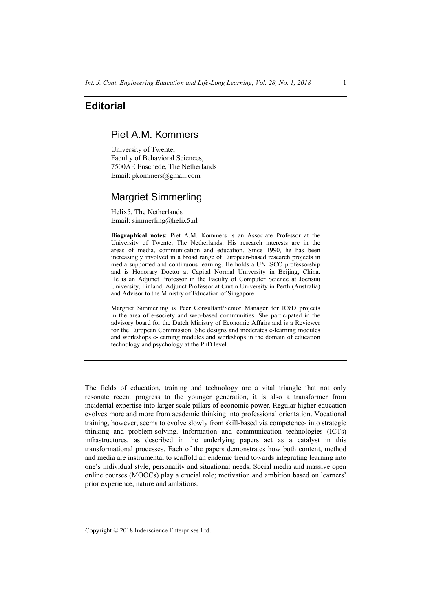## **Editorial**

## Piet A.M. Kommers

University of Twente, Faculty of Behavioral Sciences, 7500AE Enschede, The Netherlands Email: pkommers@gmail.com

## Margriet Simmerling

Helix5, The Netherlands Email: simmerling@helix5.nl

**Biographical notes:** Piet A.M. Kommers is an Associate Professor at the University of Twente, The Netherlands. His research interests are in the areas of media, communication and education. Since 1990, he has been increasingly involved in a broad range of European-based research projects in media supported and continuous learning. He holds a UNESCO professorship and is Honorary Doctor at Capital Normal University in Beijing, China. He is an Adjunct Professor in the Faculty of Computer Science at Joensuu University, Finland, Adjunct Professor at Curtin University in Perth (Australia) and Advisor to the Ministry of Education of Singapore.

Margriet Simmerling is Peer Consultant/Senior Manager for R&D projects in the area of e-society and web-based communities. She participated in the advisory board for the Dutch Ministry of Economic Affairs and is a Reviewer for the European Commission. She designs and moderates e-learning modules and workshops e-learning modules and workshops in the domain of education technology and psychology at the PhD level.

The fields of education, training and technology are a vital triangle that not only resonate recent progress to the younger generation, it is also a transformer from incidental expertise into larger scale pillars of economic power. Regular higher education evolves more and more from academic thinking into professional orientation. Vocational training, however, seems to evolve slowly from skill-based via competence- into strategic thinking and problem-solving. Information and communication technologies (ICTs) infrastructures, as described in the underlying papers act as a catalyst in this transformational processes. Each of the papers demonstrates how both content, method and media are instrumental to scaffold an endemic trend towards integrating learning into one's individual style, personality and situational needs. Social media and massive open online courses (MOOCs) play a crucial role; motivation and ambition based on learners' prior experience, nature and ambitions.

Copyright © 2018 Inderscience Enterprises Ltd.